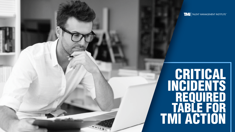CRITICAL INCIDENTS REQUIRED TABLE FOR TMI ACTION



### TMI TALENT MANAGEMENT INSTITUTE **TM**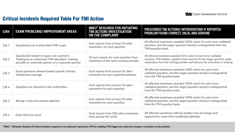# Critical Incidents Required Table For TMI Action



### **PRESCRIBED TMI ACTIONS/ INTERVENTIONS IF REPORTED PALID, AND GENUINE**

ed 100% marks for each error-validated ion-item(s) is extinguished from the

LO% marks for each error-validated view exercise for the target question; seeks vider and instructs for corrections in training.

ed 100% marks for each errorrget question-item(s) is extinguished

ed 100% marks for each errorrget question-item(s) is extinguished

ed 100% marks for each errorrget question-item(s) is extinguished

another free-of-charge resit orated globally.

| CIR#             | <b>EXAM PROBLEMS/ IMPROVEMENT AREAS</b>                                                                                                                    | <b>MNCI<sup>*</sup> REQUIRED FOR INITIATING</b><br>TMI ACTION/ INVESTIGATION<br><b>ON THE COMPLAINT</b> | <b>PRESCRIBED TMI ACTIONS/ II</b><br><b>PROBLEM FOUND CORRECT, \</b>                                           |
|------------------|------------------------------------------------------------------------------------------------------------------------------------------------------------|---------------------------------------------------------------------------------------------------------|----------------------------------------------------------------------------------------------------------------|
| CIR <sub>1</sub> | Question(s) out of prescribed TMI scope                                                                                                                    | Such reports from at least 50 other<br>examinees for each question                                      | All affected examinees awarde<br>question; and the target questi<br>TMI question bank.                         |
| CIR <sub>2</sub> | Question(s) related to topics not covered in<br>Training by an authorized TMI education/ training<br>provider or university partner or a corporate partner | 20 such reports for each question from<br>examinees of the same training provider                       | All affected examinees awarded 1<br>question; TMI initiates a global rev<br>explanation from the training prov |
| CIR <sub>3</sub> | Exam questions skewed toward specific themes;<br>imbalanced coverage                                                                                       | Such reports from at least 50 other<br>examinees for each reported question                             | All affected examinees awarde<br>validated question; and the tar<br>from the TMI question bank.                |
| CIR <sub>4</sub> | Question not relevant to the certification                                                                                                                 | Such reports from at least 50 other<br>examinees for each question                                      | All affected examinees awarde<br>validated question; and the tar<br>from the TMI question bank.                |
| CIR <sub>5</sub> | Wrong/irrelevant answer option(s)                                                                                                                          | Such reports from at least 50 other<br>examinees for each question                                      | All affected examinees awarde<br>validated question; and the tar<br>from the TMI question bank.                |
| CIR <sub>6</sub> | Exam time too short                                                                                                                                        | Such reports from 200 other examinees<br>from around the world                                          | All affected examinees offered<br>opportunity; exam time recalib                                               |

*\**MNCI - Minimum Number of Critical Incidents required to be collected/ reported to TMI for enabling TMI trigger any action for change or resolution of the problem.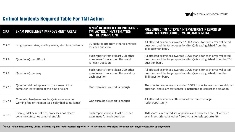| CIR#             | <b>EXAM PROBLEMS/ IMPROVEMENT AREAS</b>                                                             | <b>MNCI<sup>*</sup> REQUIRED FOR INITIATING</b><br>TMI ACTION/ INVESTIGATION<br><b>ON THE COMPLAINT</b> | PRESCRIBED TMI ACTIONS/ INTERVENTIONS IF REPORTED<br>PROBLEM FOUND CORRECT, VALID, AND GENUINE                                                                 |
|------------------|-----------------------------------------------------------------------------------------------------|---------------------------------------------------------------------------------------------------------|----------------------------------------------------------------------------------------------------------------------------------------------------------------|
| CIR <sub>7</sub> | Language mistakes; spelling errors; structure problems                                              | 10 such reports from other examinees<br>for each question                                               | All affected examinees awarded 100% marks for each error-validated<br>question; and the target question-item(s) is extinguished from the<br>TMI question bank. |
| CIR <sub>8</sub> | Question(s) too difficult                                                                           | Such reports from at least 200 other<br>examinees from around the world<br>for each question            | All affected examinees awarded 100% marks for each error-validated<br>question; and the target question-item(s) is extinguished from the TMI<br>question bank. |
| CIR <sub>9</sub> | Question(s) too easy                                                                                | Such reports from at least 200 other<br>examinees from around the world for<br>each question            | All affected examinees awarded 100% marks for each error-validated<br>question; and the target question-item(s) is extinguished from the<br>TMI question bank. |
| <b>CIR 10</b>    | Question did not appear on the screen of the<br>computer Test station at the time of exam           | One examinee's report is enough                                                                         | The affected examinee is awarded 100% marks for each error-validated<br>question; and exam test center is instructed to correct the situation.                 |
| <b>CIR 11</b>    | Computer hardware problem(s) (mouse was not<br>working fine or the monitor display had some issues) | One examinee's report is enough                                                                         | All affected examinees offered another free-of-charge<br>resist opportunity.                                                                                   |
| <b>CIR 12</b>    | Exam guidelines/ policies, processes not clearly<br>communicated; not comprehensible                | Such reports from at least 50 other<br>examinees for each question                                      | TMI shares a redrafted set of policies and processes etc., all affected<br>examinees offered another free-of-charge resit opportunity.                         |

\*MNCI - Minimum Number of Critical Incidents required to be collected/ reported to TMI for enabling TMI trigger any action for change or resolution of the problem.

# Critical Incidents Required Table For TMI Action



### **NTERVENTIONS IF REPORTED PALID, AND GENUINE**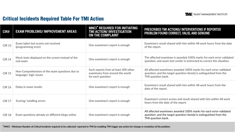| CIR#          | <b>EXAM PROBLEMS/ IMPROVEMENT AREAS</b>                                  | <b>MNCI<sup>*</sup> REQUIRED FOR INITIATING</b><br>TMI ACTION/ INVESTIGATION<br><b>ON THE COMPLAINT</b> | PRESCRIBED TMI ACTIONS/ INTERVENTIONS IF REPORTED<br>PROBLEM FOUND CORRECT, VALID, AND GENUINE                                                                 |
|---------------|--------------------------------------------------------------------------|---------------------------------------------------------------------------------------------------------|----------------------------------------------------------------------------------------------------------------------------------------------------------------|
| <b>CIR 13</b> | Exam taken but scores not received<br>(programming error)                | One examinee's report is enough                                                                         | Examinee's result shared with him within 48 work hours from the date<br>of the report.                                                                         |
| <b>CIR 14</b> | Mock tests displayed on the screen instead of the<br>real exam           | One examinee's report is enough                                                                         | The affected examinee is awarded 100% marks for each error-validated<br>question; and exam test center is instructed to correct the situation.                 |
| <b>CIR 15</b> | Non-Comprehension of the exam questions due to<br>language/ logic issues | Such reports from at least 200 other<br>examinees from around the world<br>for each question            | All affected examinees awarded 100% marks for each error-validated<br>question; and the target question-item(s) is extinguished from the<br>TMI question bank. |
| <b>CIR 16</b> | Delay in exam results                                                    | One examinee's report is enough                                                                         | Examinee's result shared with him within 48 work hours from the<br>date of the report.                                                                         |
| <b>CIR 17</b> | Scoring/totalling errors                                                 | One examinee's report is enough                                                                         | Examinee's correct scores and result shared with him within 48 work<br>hours from the date of the report.                                                      |
| <b>CIR 18</b> | Exam questions already on different blogs online                         | One examinee's report is enough                                                                         | All affected examinees awarded 100% marks for each error-validated<br>question; and the target question-item(s) is extinguished from the<br>TMI question bank. |

*\**MNCI - Minimum Number of Critical Incidents required to be collected/ reported to TMI for enabling TMI trigger any action for change or resolution of the problem.

### Critical Incidents Required Table For TMI Action



### **NTERVENTIONS IF REPORTED VALID, AND GENUINE**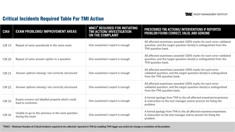## Critical Incidents Required Table For TMI Action



### **NTERVENTIONS IF REPORTED PALID, AND GENUINE**

ed 100% marks for each error-validated ion-item(s) is extinguished from the

All 100% marks for each error-validated ion-item(s) is extinguished from the

Alled 100% marks for each errorrget question-item(s) is extinguished

All 100% marks for each errorrget question-item(s) is extinguished

the all affected examinee/examinees ger and/or proctor for fixing the

he all affected examinee/examinees ger and/or proctor for fixing the

| CIR#          | <b>EXAM PROBLEMS/ IMPROVEMENT AREAS</b>                              | <b>MNCI<sup>*</sup> REQUIRED FOR INITIATING</b><br>TMI ACTION/ INVESTIGATION<br><b>ON THE COMPLAINT</b> | <b>PRESCRIBED TMI ACTIONS/ II</b><br><b>PROBLEM FOUND CORRECT, \</b>                            |
|---------------|----------------------------------------------------------------------|---------------------------------------------------------------------------------------------------------|-------------------------------------------------------------------------------------------------|
| <b>CIR 19</b> | Repeat of same question(s) in the same exam                          | One examinee's report is enough                                                                         | All affected examinees awarde<br>question; and the target questi<br>TMI question bank.          |
| <b>CIR 20</b> | Repeat of same answer-option in a question                           | One examinee's report is enough                                                                         | All affected examinees awarde<br>question; and the target questi<br>TMI question bank.          |
| <b>CIR 21</b> | Answer options missing/ not correctly structured                     | One examinee's report is enough                                                                         | All affected examinees awarde<br>validated question; and the tar<br>from the TMI question bank. |
| <b>CIR 22</b> | Answer options missing/not correctly structured                      | One examinee's report is enough                                                                         | All affected examinees awarde<br>validated question; and the tar<br>from the TMI question bank. |
| <b>CIR 23</b> | Exams screens not labelled properly which could<br>lead to confusion | One examinee's report is enough                                                                         | A formal apology from TMI to t<br>& instruction to the test manage<br>problem.                  |
| <b>CIR 24</b> | Unable to go to the previous or the next question<br>during the exam | One examinee's report is enough                                                                         | A formal apology from TMI to tl<br>& instruction to the test manage<br>problem.                 |

*\**MNCI - Minimum Number of Critical Incidents required to be collected/ reported to TMI for enabling TMI trigger any action for change or resolution of the problem.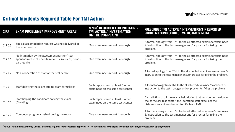| CIR#          | <b>EXAM PROBLEMS/ IMPROVEMENT AREAS</b>                                                                                | <b>MNCI<sup>*</sup> REQUIRED FOR INITIATING</b><br>TMI ACTION/ INVESTIGATION<br><b>ON THE COMPLAINT</b> | <b>PRESCRIBED TMI ACTIONS/ II</b><br><b>PROBLEM FOUND CORRECT, \</b>                                    |
|---------------|------------------------------------------------------------------------------------------------------------------------|---------------------------------------------------------------------------------------------------------|---------------------------------------------------------------------------------------------------------|
| <b>CIR 25</b> | Special accomodation request was not delivered at<br>the exam centre                                                   | One examinee's report is enough                                                                         | A formal apology from TMI to t<br>& instruction to the test manag<br>problem.                           |
| <b>CIR 26</b> | No intimation by the assessment partner/ test<br>sponsor in case of uncertain events like rains, floods,<br>earthquake | One examinee's report is enough                                                                         | A formal apology from TMI to t<br>& instruction to the test manage<br>problem.                          |
| <b>CIR 27</b> | Non-cooperation of staff at the test centre                                                                            | One examinee's report is enough                                                                         | A formal apology from TMI to th<br>instruction to the test manager                                      |
| <b>CIR 28</b> | Staff delaying the exam due to exam formalities                                                                        | Such reports from at least 3 other<br>examinees on the same test center                                 | A formal apology from TMI to the<br>instruction to the test manager a                                   |
| <b>CIR 29</b> | Staff helping the candidate solving the exam<br>(Cheating)                                                             | Such reports from at least 3 other<br>examinees on the same test center                                 | Cancellation of all the exams he<br>the particular test center; the io<br>dishonest examinees barred fo |
| <b>CIR 30</b> | Computer program crashed during the exam                                                                               | One examinee's report is enough                                                                         | A formal apology from TMI to t<br>& instruction to the test manage<br>problem.                          |

\*MNCI - Minimum Number of Critical Incidents required to be collected/ reported to TMI for enabling TMI trigger any action for change or resolution of the problem.

# Critical Incidents Required Table For TMI Action



### **NTERVENTIONS IF REPORTED PALID, AND GENUINE**

the all affected examinee/examinees ger and/or proctor for fixing the

the all affected examinee/examinees ger and/or proctor for fixing the

he all affected examinee/examinees & and/or proctor for fixing the problem.

 $\alpha$  all affected examinee/examinees  $\&$ and/or proctor for fixing the problem.

eld during that session on the day in identified staff expelled; the or life from TMI.

the all affected examinee/examinees ger and/or proctor for fixing the